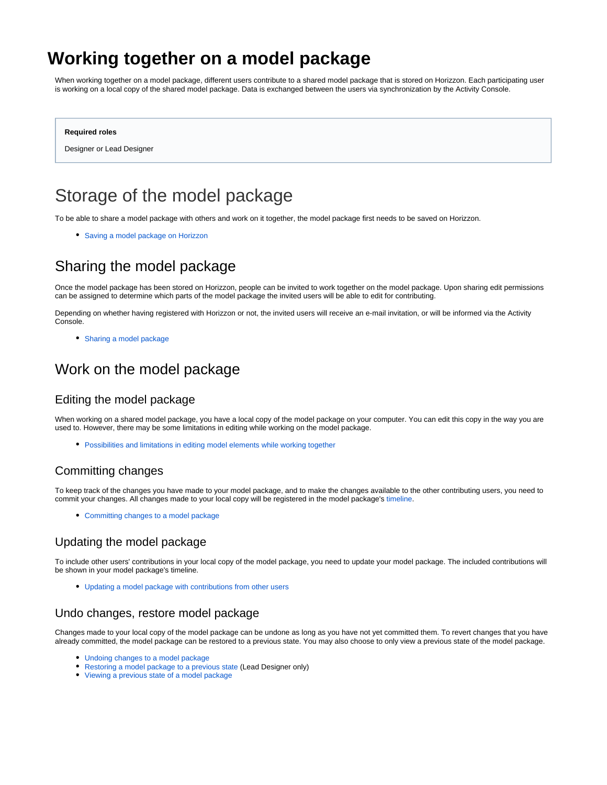# <span id="page-0-0"></span>**Working together on a model package**

When working together on a model package, different users contribute to a shared model package that is stored on Horizzon. Each participating user is working on a local copy of the shared model package. Data is exchanged between the users via synchronization by the Activity Console.

#### **Required roles**

Designer or Lead Designer

# Storage of the model package

To be able to share a model package with others and work on it together, the model package first needs to be saved on Horizzon.

[Saving a model package on Horizzon](https://support.bizzdesign.com/display/knowledge/Saving+a+model+package+on+Horizzon)

## Sharing the model package

Once the model package has been stored on Horizzon, people can be invited to work together on the model package. Upon sharing edit permissions can be assigned to determine which parts of the model package the invited users will be able to edit for contributing.

Depending on whether having registered with Horizzon or not, the invited users will receive an e-mail invitation, or will be informed via the Activity Console.

[Sharing a model package](https://support.bizzdesign.com/display/knowledge/Sharing+a+model+package)

## Work on the model package

#### Editing the model package

When working on a shared model package, you have a local copy of the model package on your computer. You can edit this copy in the way you are used to. However, there may be some limitations in editing while working on the model package.

[Possibilities and limitations in editing model elements while working together](https://support.bizzdesign.com/display/knowledge/Possibilities+and+limitations+in+editing+model+elements+while+working+together)

### Committing changes

To keep track of the changes you have made to your model package, and to make the changes available to the other contributing users, you need to commit your changes. All changes made to your local copy will be registered in the model package's [timeline.](https://support.bizzdesign.com/display/knowledge/Timeline+of+a+model+package+or+project)

[Committing changes to a model package](https://support.bizzdesign.com/display/knowledge/Committing+changes+to+a+model+package+or+project)

### Updating the model package

To include other users' contributions in your local copy of the model package, you need to update your model package. The included contributions will be shown in your model package's timeline.

[Updating a model package with contributions from other users](https://support.bizzdesign.com/display/knowledge/Updating+a+model+package+with+contributions+from+other+users)

#### Undo changes, restore model package

Changes made to your local copy of the model package can be undone as long as you have not yet committed them. To revert changes that you have already committed, the model package can be restored to a previous state. You may also choose to only view a previous state of the model package.

- [Undoing changes to a model package](https://support.bizzdesign.com/display/knowledge/Undoing+changes+to+a+model+package+or+project)
- [Restoring a model package to a previous state](https://support.bizzdesign.com/display/knowledge/Restoring+a+model+package+or+project+to+a+previous+state) (Lead Designer only)
- [Viewing a previous state of a model package](https://support.bizzdesign.com/display/knowledge/Viewing+a+previous+state+of+a+model+package+or+project)